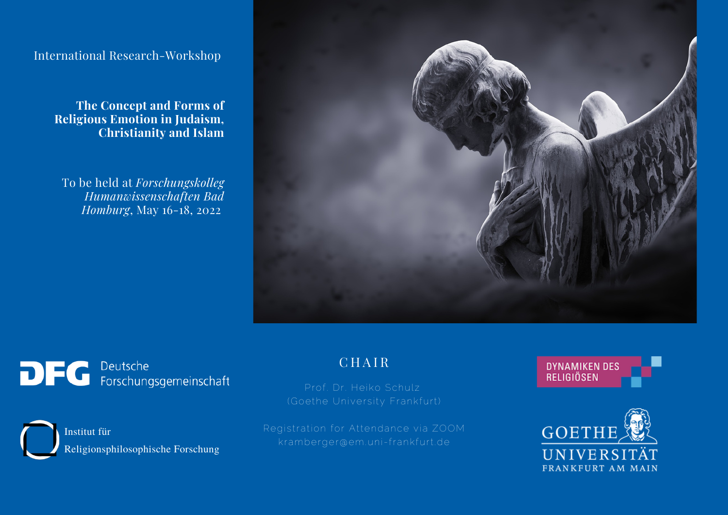International Research-Workshop

**The Concept and Forms of Religious Emotion in Judaism, Christianity and Islam**

To be held at *Forschungskolleg Humanwissenschaften Bad Homburg*, May 16-18, 2022



DFG Deutsche<br>
FG Forschungsgemeinschaft

Institut für Religionsphilosophische Forschung C H A I R

Prof. Dr. Heiko Schulz